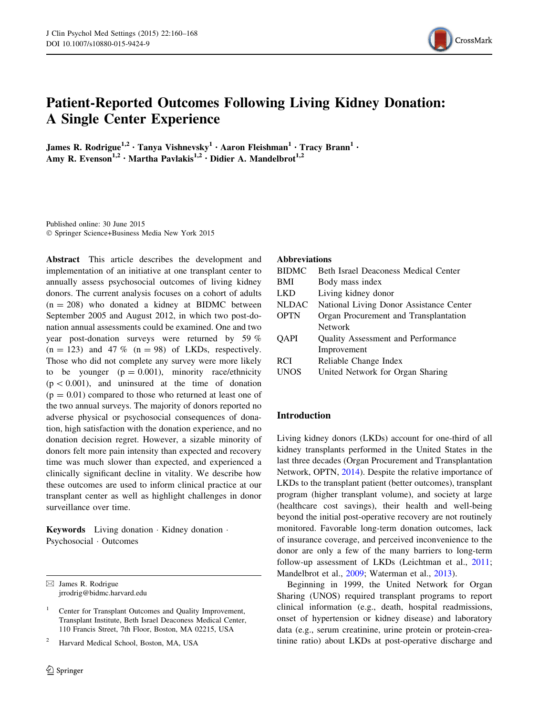

# Patient-Reported Outcomes Following Living Kidney Donation: A Single Center Experience

James R. Rodrigue<sup>1,2</sup> · Tanya Vishnevsky<sup>1</sup> · Aaron Fleishman<sup>1</sup> · Tracy Brann<sup>1</sup> · Amy R. Evenson<sup>1,2</sup> · Martha Pavlakis<sup>1,2</sup> · Didier A. Mandelbrot<sup>1,2</sup>

Published online: 30 June 2015 - Springer Science+Business Media New York 2015

Abstract This article describes the development and implementation of an initiative at one transplant center to annually assess psychosocial outcomes of living kidney donors. The current analysis focuses on a cohort of adults  $(n = 208)$  who donated a kidney at BIDMC between September 2005 and August 2012, in which two post-donation annual assessments could be examined. One and two year post-donation surveys were returned by 59 %  $(n = 123)$  and 47 %  $(n = 98)$  of LKDs, respectively. Those who did not complete any survey were more likely to be younger  $(p = 0.001)$ , minority race/ethnicity  $(p < 0.001)$ , and uninsured at the time of donation  $(p = 0.01)$  compared to those who returned at least one of the two annual surveys. The majority of donors reported no adverse physical or psychosocial consequences of donation, high satisfaction with the donation experience, and no donation decision regret. However, a sizable minority of donors felt more pain intensity than expected and recovery time was much slower than expected, and experienced a clinically significant decline in vitality. We describe how these outcomes are used to inform clinical practice at our transplant center as well as highlight challenges in donor surveillance over time.

Keywords Living donation - Kidney donation - Psychosocial - Outcomes

<sup>2</sup> Harvard Medical School, Boston, MA, USA

## Abbreviations

| <b>BIDMC</b> | Beth Israel Deaconess Medical Center      |
|--------------|-------------------------------------------|
| <b>BMI</b>   | Body mass index                           |
| <b>LKD</b>   | Living kidney donor                       |
| <b>NLDAC</b> | National Living Donor Assistance Center   |
| <b>OPTN</b>  | Organ Procurement and Transplantation     |
|              | <b>Network</b>                            |
| OAPI         | <b>Quality Assessment and Performance</b> |
|              | Improvement                               |
| <b>RCI</b>   | Reliable Change Index                     |
| UNOS         | United Network for Organ Sharing          |

## Introduction

Living kidney donors (LKDs) account for one-third of all kidney transplants performed in the United States in the last three decades (Organ Procurement and Transplantation Network, OPTN, [2014\)](#page-8-0). Despite the relative importance of LKDs to the transplant patient (better outcomes), transplant program (higher transplant volume), and society at large (healthcare cost savings), their health and well-being beyond the initial post-operative recovery are not routinely monitored. Favorable long-term donation outcomes, lack of insurance coverage, and perceived inconvenience to the donor are only a few of the many barriers to long-term follow-up assessment of LKDs (Leichtman et al., [2011](#page-8-0); Mandelbrot et al., [2009](#page-8-0); Waterman et al., [2013\)](#page-8-0).

Beginning in 1999, the United Network for Organ Sharing (UNOS) required transplant programs to report clinical information (e.g., death, hospital readmissions, onset of hypertension or kidney disease) and laboratory data (e.g., serum creatinine, urine protein or protein-creatinine ratio) about LKDs at post-operative discharge and

 $\boxtimes$  James R. Rodrigue jrrodrig@bidmc.harvard.edu

Center for Transplant Outcomes and Quality Improvement, Transplant Institute, Beth Israel Deaconess Medical Center, 110 Francis Street, 7th Floor, Boston, MA 02215, USA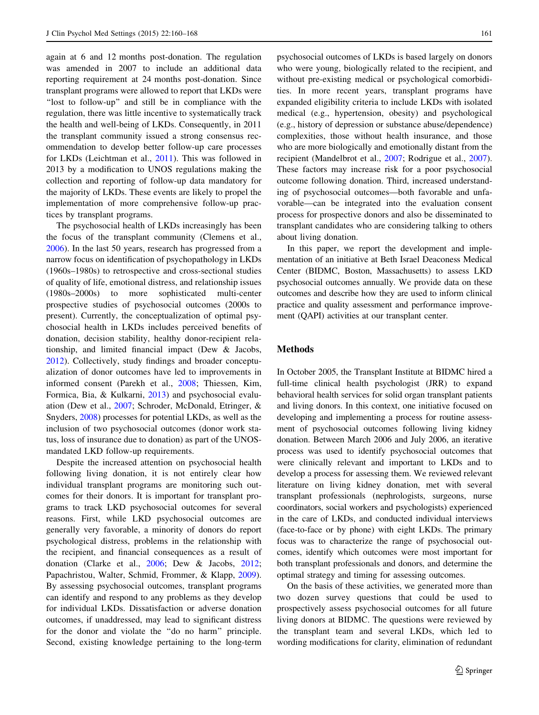again at 6 and 12 months post-donation. The regulation was amended in 2007 to include an additional data reporting requirement at 24 months post-donation. Since transplant programs were allowed to report that LKDs were ''lost to follow-up'' and still be in compliance with the regulation, there was little incentive to systematically track the health and well-being of LKDs. Consequently, in 2011 the transplant community issued a strong consensus recommendation to develop better follow-up care processes for LKDs (Leichtman et al., [2011\)](#page-8-0). This was followed in 2013 by a modification to UNOS regulations making the collection and reporting of follow-up data mandatory for the majority of LKDs. These events are likely to propel the implementation of more comprehensive follow-up practices by transplant programs.

The psychosocial health of LKDs increasingly has been the focus of the transplant community (Clemens et al., [2006\)](#page-7-0). In the last 50 years, research has progressed from a narrow focus on identification of psychopathology in LKDs (1960s–1980s) to retrospective and cross-sectional studies of quality of life, emotional distress, and relationship issues (1980s–2000s) to more sophisticated multi-center prospective studies of psychosocial outcomes (2000s to present). Currently, the conceptualization of optimal psychosocial health in LKDs includes perceived benefits of donation, decision stability, healthy donor-recipient relationship, and limited financial impact (Dew & Jacobs, [2012\)](#page-7-0). Collectively, study findings and broader conceptualization of donor outcomes have led to improvements in informed consent (Parekh et al., [2008;](#page-8-0) Thiessen, Kim, Formica, Bia, & Kulkarni, [2013\)](#page-8-0) and psychosocial evaluation (Dew et al., [2007](#page-7-0); Schroder, McDonald, Etringer, & Snyders, [2008](#page-8-0)) processes for potential LKDs, as well as the inclusion of two psychosocial outcomes (donor work status, loss of insurance due to donation) as part of the UNOSmandated LKD follow-up requirements.

Despite the increased attention on psychosocial health following living donation, it is not entirely clear how individual transplant programs are monitoring such outcomes for their donors. It is important for transplant programs to track LKD psychosocial outcomes for several reasons. First, while LKD psychosocial outcomes are generally very favorable, a minority of donors do report psychological distress, problems in the relationship with the recipient, and financial consequences as a result of donation (Clarke et al., [2006;](#page-7-0) Dew & Jacobs, [2012](#page-7-0); Papachristou, Walter, Schmid, Frommer, & Klapp, [2009](#page-8-0)). By assessing psychosocial outcomes, transplant programs can identify and respond to any problems as they develop for individual LKDs. Dissatisfaction or adverse donation outcomes, if unaddressed, may lead to significant distress for the donor and violate the ''do no harm'' principle. Second, existing knowledge pertaining to the long-term psychosocial outcomes of LKDs is based largely on donors who were young, biologically related to the recipient, and without pre-existing medical or psychological comorbidities. In more recent years, transplant programs have expanded eligibility criteria to include LKDs with isolated medical (e.g., hypertension, obesity) and psychological (e.g., history of depression or substance abuse/dependence) complexities, those without health insurance, and those who are more biologically and emotionally distant from the recipient (Mandelbrot et al., [2007;](#page-8-0) Rodrigue et al., [2007](#page-8-0)). These factors may increase risk for a poor psychosocial outcome following donation. Third, increased understanding of psychosocial outcomes—both favorable and unfavorable—can be integrated into the evaluation consent process for prospective donors and also be disseminated to transplant candidates who are considering talking to others about living donation.

In this paper, we report the development and implementation of an initiative at Beth Israel Deaconess Medical Center (BIDMC, Boston, Massachusetts) to assess LKD psychosocial outcomes annually. We provide data on these outcomes and describe how they are used to inform clinical practice and quality assessment and performance improvement (QAPI) activities at our transplant center.

# Methods

In October 2005, the Transplant Institute at BIDMC hired a full-time clinical health psychologist (JRR) to expand behavioral health services for solid organ transplant patients and living donors. In this context, one initiative focused on developing and implementing a process for routine assessment of psychosocial outcomes following living kidney donation. Between March 2006 and July 2006, an iterative process was used to identify psychosocial outcomes that were clinically relevant and important to LKDs and to develop a process for assessing them. We reviewed relevant literature on living kidney donation, met with several transplant professionals (nephrologists, surgeons, nurse coordinators, social workers and psychologists) experienced in the care of LKDs, and conducted individual interviews (face-to-face or by phone) with eight LKDs. The primary focus was to characterize the range of psychosocial outcomes, identify which outcomes were most important for both transplant professionals and donors, and determine the optimal strategy and timing for assessing outcomes.

On the basis of these activities, we generated more than two dozen survey questions that could be used to prospectively assess psychosocial outcomes for all future living donors at BIDMC. The questions were reviewed by the transplant team and several LKDs, which led to wording modifications for clarity, elimination of redundant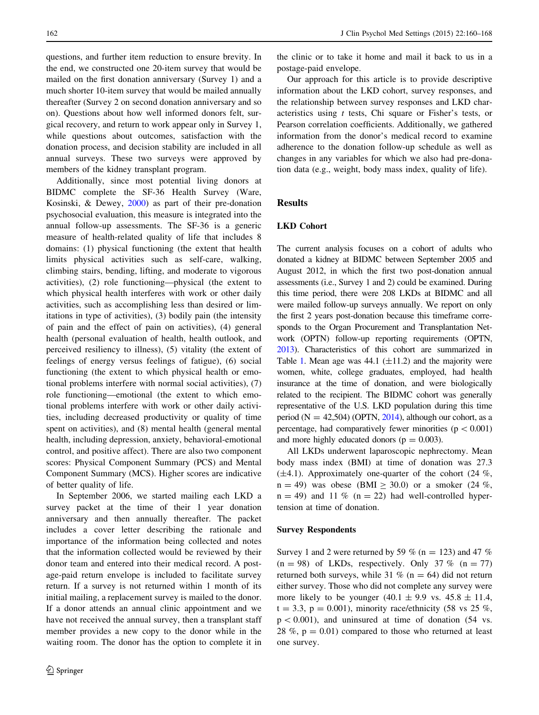questions, and further item reduction to ensure brevity. In the end, we constructed one 20-item survey that would be mailed on the first donation anniversary (Survey 1) and a much shorter 10-item survey that would be mailed annually thereafter (Survey 2 on second donation anniversary and so on). Questions about how well informed donors felt, surgical recovery, and return to work appear only in Survey 1, while questions about outcomes, satisfaction with the donation process, and decision stability are included in all annual surveys. These two surveys were approved by members of the kidney transplant program.

Additionally, since most potential living donors at BIDMC complete the SF-36 Health Survey (Ware, Kosinski, & Dewey, [2000](#page-8-0)) as part of their pre-donation psychosocial evaluation, this measure is integrated into the annual follow-up assessments. The SF-36 is a generic measure of health-related quality of life that includes 8 domains: (1) physical functioning (the extent that health limits physical activities such as self-care, walking, climbing stairs, bending, lifting, and moderate to vigorous activities), (2) role functioning—physical (the extent to which physical health interferes with work or other daily activities, such as accomplishing less than desired or limitations in type of activities), (3) bodily pain (the intensity of pain and the effect of pain on activities), (4) general health (personal evaluation of health, health outlook, and perceived resiliency to illness), (5) vitality (the extent of feelings of energy versus feelings of fatigue), (6) social functioning (the extent to which physical health or emotional problems interfere with normal social activities), (7) role functioning—emotional (the extent to which emotional problems interfere with work or other daily activities, including decreased productivity or quality of time spent on activities), and (8) mental health (general mental health, including depression, anxiety, behavioral-emotional control, and positive affect). There are also two component scores: Physical Component Summary (PCS) and Mental Component Summary (MCS). Higher scores are indicative of better quality of life.

In September 2006, we started mailing each LKD a survey packet at the time of their 1 year donation anniversary and then annually thereafter. The packet includes a cover letter describing the rationale and importance of the information being collected and notes that the information collected would be reviewed by their donor team and entered into their medical record. A postage-paid return envelope is included to facilitate survey return. If a survey is not returned within 1 month of its initial mailing, a replacement survey is mailed to the donor. If a donor attends an annual clinic appointment and we have not received the annual survey, then a transplant staff member provides a new copy to the donor while in the waiting room. The donor has the option to complete it in the clinic or to take it home and mail it back to us in a postage-paid envelope.

Our approach for this article is to provide descriptive information about the LKD cohort, survey responses, and the relationship between survey responses and LKD characteristics using t tests, Chi square or Fisher's tests, or Pearson correlation coefficients. Additionally, we gathered information from the donor's medical record to examine adherence to the donation follow-up schedule as well as changes in any variables for which we also had pre-donation data (e.g., weight, body mass index, quality of life).

## **Results**

## LKD Cohort

The current analysis focuses on a cohort of adults who donated a kidney at BIDMC between September 2005 and August 2012, in which the first two post-donation annual assessments (i.e., Survey 1 and 2) could be examined. During this time period, there were 208 LKDs at BIDMC and all were mailed follow-up surveys annually. We report on only the first 2 years post-donation because this timeframe corresponds to the Organ Procurement and Transplantation Network (OPTN) follow-up reporting requirements (OPTN, [2013](#page-8-0)). Characteristics of this cohort are summarized in Table [1](#page-3-0). Mean age was  $44.1$  ( $\pm$ 11.2) and the majority were women, white, college graduates, employed, had health insurance at the time of donation, and were biologically related to the recipient. The BIDMC cohort was generally representative of the U.S. LKD population during this time period ( $N = 42,504$ ) (OPTN, [2014](#page-8-0)), although our cohort, as a percentage, had comparatively fewer minorities  $(p < 0.001)$ and more highly educated donors ( $p = 0.003$ ).

All LKDs underwent laparoscopic nephrectomy. Mean body mass index (BMI) at time of donation was 27.3  $(\pm 4.1)$ . Approximately one-quarter of the cohort  $(24\%$ ,  $n = 49$ ) was obese (BMI > 30.0) or a smoker (24 %,  $n = 49$ ) and 11 % ( $n = 22$ ) had well-controlled hypertension at time of donation.

#### Survey Respondents

Survey 1 and 2 were returned by 59 % (n = 123) and 47 %  $(n = 98)$  of LKDs, respectively. Only 37 %  $(n = 77)$ returned both surveys, while 31 % ( $n = 64$ ) did not return either survey. Those who did not complete any survey were more likely to be younger  $(40.1 \pm 9.9 \text{ vs. } 45.8 \pm 11.4,$  $t = 3.3$ ,  $p = 0.001$ ), minority race/ethnicity (58 vs 25 %,  $p < 0.001$ ), and uninsured at time of donation (54 vs. 28 %,  $p = 0.01$ ) compared to those who returned at least one survey.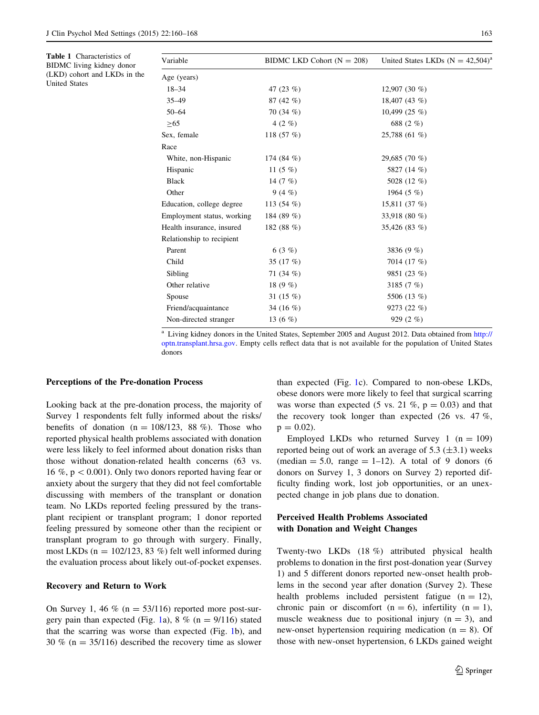<span id="page-3-0"></span>Table 1 Characteristics of BIDMC living kidney donor (LKD) cohort and LKDs in the United States

| Variable                   | BIDMC LKD Cohort $(N = 208)$ | United States LKDs ( $N = 42,504$ ) <sup>e</sup> |  |  |  |  |  |  |
|----------------------------|------------------------------|--------------------------------------------------|--|--|--|--|--|--|
| Age (years)                |                              |                                                  |  |  |  |  |  |  |
| $18 - 34$                  | 47 $(23\%)$                  | 12,907 $(30\%$                                   |  |  |  |  |  |  |
| $35 - 49$                  | $87(42\%)$                   | 18,407 $(43\%)$                                  |  |  |  |  |  |  |
| $50 - 64$                  | 70 $(34\%)$                  | 10,499 (25 %)                                    |  |  |  |  |  |  |
| $\geq 65$                  | 4 $(2 \%)$                   | 688 (2 %)                                        |  |  |  |  |  |  |
| Sex, female                | 118 $(57\%)$                 | 25,788 (61 %)                                    |  |  |  |  |  |  |
| Race                       |                              |                                                  |  |  |  |  |  |  |
| White, non-Hispanic        | 174 $(84\%)$                 | 29,685 (70 %)                                    |  |  |  |  |  |  |
| Hispanic                   | 11 $(5 \%)$                  | 5827 (14 %)                                      |  |  |  |  |  |  |
| <b>Black</b>               | 14 $(7 \%)$                  | 5028 (12 %)                                      |  |  |  |  |  |  |
| Other                      | 9(4%)                        | 1964 $(5 \%)$                                    |  |  |  |  |  |  |
| Education, college degree  | 113 $(54\%)$                 | 15,811 (37 %)                                    |  |  |  |  |  |  |
| Employment status, working | 184 (89 %)                   | 33,918 (80 %)                                    |  |  |  |  |  |  |
| Health insurance, insured  | 182 $(88\%)$                 | 35,426 (83 %)                                    |  |  |  |  |  |  |
| Relationship to recipient  |                              |                                                  |  |  |  |  |  |  |
| Parent                     | 6 $(3 \%)$                   | 3836 $(9 \%)$                                    |  |  |  |  |  |  |
| Child                      | 35 $(17 \%)$                 | 7014 (17 %)                                      |  |  |  |  |  |  |
| Sibling                    | 71 $(34\%)$                  | 9851 $(23 \%)$                                   |  |  |  |  |  |  |
| Other relative             | 18 $(9\%$                    | 3185 $(7%)$                                      |  |  |  |  |  |  |
| Spouse                     | 31 $(15 \%)$                 | 5506 (13 %)                                      |  |  |  |  |  |  |
| Friend/acquaintance        | 34 $(16 \%)$                 | 9273 $(22 \%)$                                   |  |  |  |  |  |  |
| Non-directed stranger      | 13 $(6 \%)$                  | 929 $(2 \%)$                                     |  |  |  |  |  |  |

<sup>a</sup> Living kidney donors in the United States, September 2005 and August 2012. Data obtained from [http://](http://optn.transplant.hrsa.gov) [optn.transplant.hrsa.gov](http://optn.transplant.hrsa.gov). Empty cells reflect data that is not available for the population of United States donors

#### Perceptions of the Pre-donation Process

Looking back at the pre-donation process, the majority of Survey 1 respondents felt fully informed about the risks/ benefits of donation  $(n = 108/123, 88\%)$ . Those who reported physical health problems associated with donation were less likely to feel informed about donation risks than those without donation-related health concerns (63 vs. 16 %,  $p < 0.001$ ). Only two donors reported having fear or anxiety about the surgery that they did not feel comfortable discussing with members of the transplant or donation team. No LKDs reported feeling pressured by the transplant recipient or transplant program; 1 donor reported feeling pressured by someone other than the recipient or transplant program to go through with surgery. Finally, most LKDs ( $n = 102/123$ , 83 %) felt well informed during the evaluation process about likely out-of-pocket expenses.

#### Recovery and Return to Work

On Survey 1, 46 % ( $n = 53/116$ ) reported more post-sur-gery pain than expected (Fig. [1a](#page-4-0)),  $8\%$  (n = 9/116) stated that the scarring was worse than expected (Fig. [1b](#page-4-0)), and 30 % ( $n = 35/116$ ) described the recovery time as slower than expected (Fig. [1c](#page-4-0)). Compared to non-obese LKDs, obese donors were more likely to feel that surgical scarring was worse than expected (5 vs. 21 %,  $p = 0.03$ ) and that the recovery took longer than expected (26 vs. 47 %,  $p = 0.02$ ).

Employed LKDs who returned Survey 1  $(n = 109)$ reported being out of work an average of 5.3  $(\pm 3.1)$  weeks (median  $= 5.0$ , range  $= 1-12$ ). A total of 9 donors (6 donors on Survey 1, 3 donors on Survey 2) reported difficulty finding work, lost job opportunities, or an unexpected change in job plans due to donation.

## Perceived Health Problems Associated with Donation and Weight Changes

Twenty-two LKDs (18 %) attributed physical health problems to donation in the first post-donation year (Survey 1) and 5 different donors reported new-onset health problems in the second year after donation (Survey 2). These health problems included persistent fatigue  $(n = 12)$ , chronic pain or discomfort ( $n = 6$ ), infertility ( $n = 1$ ), muscle weakness due to positional injury  $(n = 3)$ , and new-onset hypertension requiring medication ( $n = 8$ ). Of those with new-onset hypertension, 6 LKDs gained weight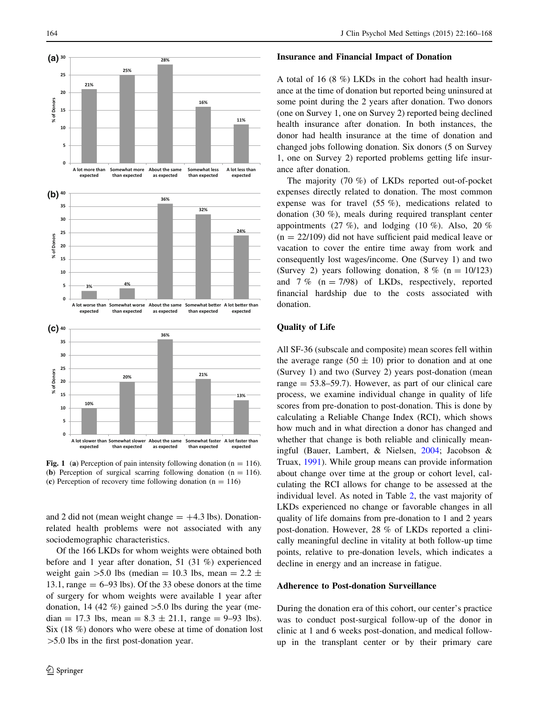<span id="page-4-0"></span>

Fig. 1 (a) Perception of pain intensity following donation ( $n = 116$ ). (b) Perception of surgical scarring following donation  $(n = 116)$ . (c) Perception of recovery time following donation ( $n = 116$ )

and 2 did not (mean weight change  $= +4.3$  lbs). Donationrelated health problems were not associated with any sociodemographic characteristics.

Of the 166 LKDs for whom weights were obtained both before and 1 year after donation, 51 (31 %) experienced weight gain  $>5.0$  lbs (median = 10.3 lbs, mean = 2.2  $\pm$ 13.1, range  $= 6-93$  lbs). Of the 33 obese donors at the time of surgery for whom weights were available 1 year after donation, 14 (42 %) gained  $>5.0$  lbs during the year (median = 17.3 lbs, mean =  $8.3 \pm 21.1$ , range = 9–93 lbs). Six (18 %) donors who were obese at time of donation lost  $>5.0$  lbs in the first post-donation year.

#### Insurance and Financial Impact of Donation

A total of 16 (8 %) LKDs in the cohort had health insurance at the time of donation but reported being uninsured at some point during the 2 years after donation. Two donors (one on Survey 1, one on Survey 2) reported being declined health insurance after donation. In both instances, the donor had health insurance at the time of donation and changed jobs following donation. Six donors (5 on Survey 1, one on Survey 2) reported problems getting life insurance after donation.

The majority (70 %) of LKDs reported out-of-pocket expenses directly related to donation. The most common expense was for travel (55 %), medications related to donation (30 %), meals during required transplant center appointments  $(27 \%)$ , and lodging  $(10 \%)$ . Also,  $20 \%$  $(n = 22/109)$  did not have sufficient paid medical leave or vacation to cover the entire time away from work and consequently lost wages/income. One (Survey 1) and two (Survey 2) years following donation,  $8\%$  (n = 10/123) and 7 %  $(n = 7/98)$  of LKDs, respectively, reported financial hardship due to the costs associated with donation.

## Quality of Life

All SF-36 (subscale and composite) mean scores fell within the average range (50  $\pm$  10) prior to donation and at one (Survey 1) and two (Survey 2) years post-donation (mean range  $= 53.8 - 59.7$ . However, as part of our clinical care process, we examine individual change in quality of life scores from pre-donation to post-donation. This is done by calculating a Reliable Change Index (RCI), which shows how much and in what direction a donor has changed and whether that change is both reliable and clinically meaningful (Bauer, Lambert, & Nielsen, [2004;](#page-7-0) Jacobson & Truax, [1991](#page-7-0)). While group means can provide information about change over time at the group or cohort level, calculating the RCI allows for change to be assessed at the individual level. As noted in Table [2,](#page-5-0) the vast majority of LKDs experienced no change or favorable changes in all quality of life domains from pre-donation to 1 and 2 years post-donation. However, 28 % of LKDs reported a clinically meaningful decline in vitality at both follow-up time points, relative to pre-donation levels, which indicates a decline in energy and an increase in fatigue.

#### Adherence to Post-donation Surveillance

During the donation era of this cohort, our center's practice was to conduct post-surgical follow-up of the donor in clinic at 1 and 6 weeks post-donation, and medical followup in the transplant center or by their primary care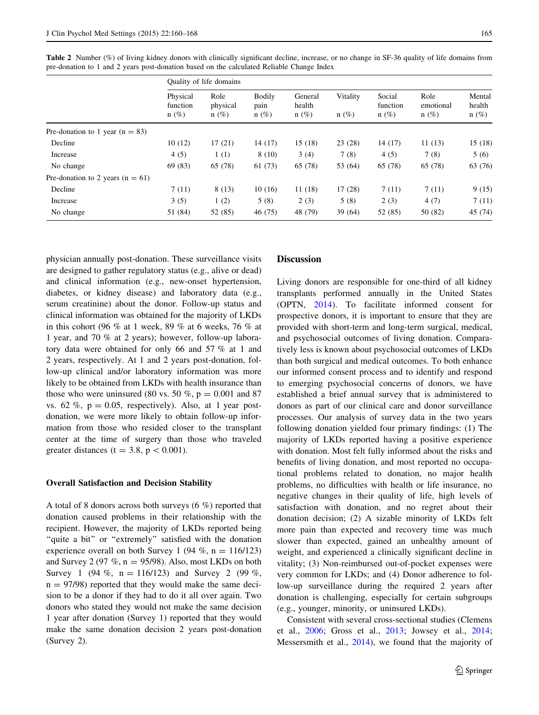|                                      | Quality of life domains         |                             |                                  |                              |                     |                               |                              |                             |  |  |
|--------------------------------------|---------------------------------|-----------------------------|----------------------------------|------------------------------|---------------------|-------------------------------|------------------------------|-----------------------------|--|--|
|                                      | Physical<br>function<br>$n(\%)$ | Role<br>physical<br>$n(\%)$ | <b>Bodily</b><br>pain<br>$n(\%)$ | General<br>health<br>$n(\%)$ | Vitality<br>$n(\%)$ | Social<br>function<br>$n(\%)$ | Role<br>emotional<br>$n(\%)$ | Mental<br>health<br>$n(\%)$ |  |  |
| Pre-donation to 1 year ( $n = 83$ )  |                                 |                             |                                  |                              |                     |                               |                              |                             |  |  |
| Decline                              | 10(12)                          | 17(21)                      | 14(17)                           | 15(18)                       | 23(28)              | 14(17)                        | 11(13)                       | 15(18)                      |  |  |
| Increase                             | 4(5)                            | 1(1)                        | 8(10)                            | 3(4)                         | 7(8)                | 4(5)                          | 7(8)                         | 5(6)                        |  |  |
| No change                            | 69 (83)                         | 65 (78)                     | 61(73)                           | 65 (78)                      | 53 (64)             | 65 (78)                       | 65 (78)                      | 63 (76)                     |  |  |
| Pre-donation to 2 years ( $n = 61$ ) |                                 |                             |                                  |                              |                     |                               |                              |                             |  |  |
| Decline                              | 7(11)                           | 8(13)                       | 10(16)                           | 11(18)                       | 17(28)              | 7(11)                         | 7(11)                        | 9(15)                       |  |  |
| Increase                             | 3(5)                            | 1(2)                        | 5(8)                             | 2(3)                         | 5(8)                | 2(3)                          | 4(7)                         | 7(11)                       |  |  |
| No change                            | 51 (84)                         | 52 (85)                     | 46 (75)                          | 48 (79)                      | 39(64)              | 52 (85)                       | 50 (82)                      | 45 (74)                     |  |  |

<span id="page-5-0"></span>Table 2 Number (%) of living kidney donors with clinically significant decline, increase, or no change in SF-36 quality of life domains from pre-donation to 1 and 2 years post-donation based on the calculated Reliable Change Index

physician annually post-donation. These surveillance visits are designed to gather regulatory status (e.g., alive or dead) and clinical information (e.g., new-onset hypertension, diabetes, or kidney disease) and laboratory data (e.g., serum creatinine) about the donor. Follow-up status and clinical information was obtained for the majority of LKDs in this cohort (96  $\%$  at 1 week, 89  $\%$  at 6 weeks, 76  $\%$  at 1 year, and 70 % at 2 years); however, follow-up laboratory data were obtained for only 66 and 57 % at 1 and 2 years, respectively. At 1 and 2 years post-donation, follow-up clinical and/or laboratory information was more likely to be obtained from LKDs with health insurance than those who were uninsured (80 vs. 50 %,  $p = 0.001$  and 87 vs. 62 %,  $p = 0.05$ , respectively). Also, at 1 year postdonation, we were more likely to obtain follow-up information from those who resided closer to the transplant center at the time of surgery than those who traveled greater distances (t = 3.8, p < 0.001).

#### Overall Satisfaction and Decision Stability

A total of 8 donors across both surveys (6 %) reported that donation caused problems in their relationship with the recipient. However, the majority of LKDs reported being "quite a bit" or "extremely" satisfied with the donation experience overall on both Survey 1 (94 %,  $n = 116/123$ ) and Survey 2 (97 %,  $n = 95/98$ ). Also, most LKDs on both Survey 1 (94 %,  $n = 116/123$ ) and Survey 2 (99 %,  $n = 97/98$ ) reported that they would make the same decision to be a donor if they had to do it all over again. Two donors who stated they would not make the same decision 1 year after donation (Survey 1) reported that they would make the same donation decision 2 years post-donation (Survey 2).

#### **Discussion**

Living donors are responsible for one-third of all kidney transplants performed annually in the United States (OPTN, [2014](#page-8-0)). To facilitate informed consent for prospective donors, it is important to ensure that they are provided with short-term and long-term surgical, medical, and psychosocial outcomes of living donation. Comparatively less is known about psychosocial outcomes of LKDs than both surgical and medical outcomes. To both enhance our informed consent process and to identify and respond to emerging psychosocial concerns of donors, we have established a brief annual survey that is administered to donors as part of our clinical care and donor surveillance processes. Our analysis of survey data in the two years following donation yielded four primary findings: (1) The majority of LKDs reported having a positive experience with donation. Most felt fully informed about the risks and benefits of living donation, and most reported no occupational problems related to donation, no major health problems, no difficulties with health or life insurance, no negative changes in their quality of life, high levels of satisfaction with donation, and no regret about their donation decision; (2) A sizable minority of LKDs felt more pain than expected and recovery time was much slower than expected, gained an unhealthy amount of weight, and experienced a clinically significant decline in vitality; (3) Non-reimbursed out-of-pocket expenses were very common for LKDs; and (4) Donor adherence to follow-up surveillance during the required 2 years after donation is challenging, especially for certain subgroups (e.g., younger, minority, or uninsured LKDs).

Consistent with several cross-sectional studies (Clemens et al., [2006](#page-7-0); Gross et al., [2013](#page-7-0); Jowsey et al., [2014](#page-7-0); Messersmith et al., [2014](#page-8-0)), we found that the majority of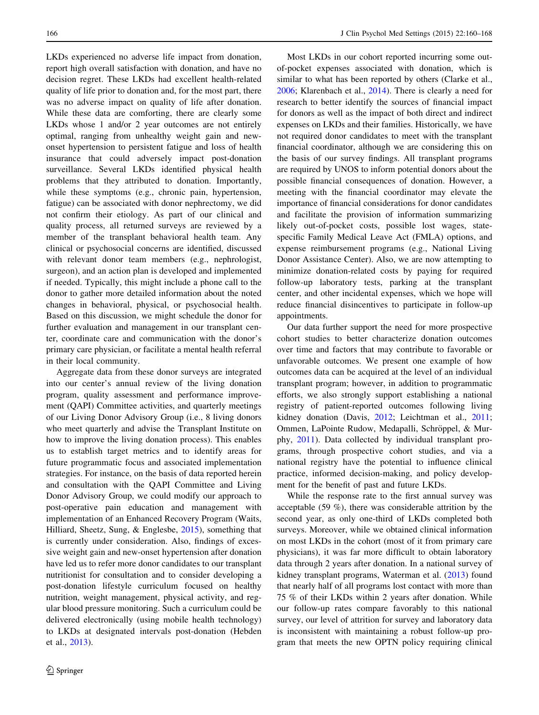LKDs experienced no adverse life impact from donation, report high overall satisfaction with donation, and have no decision regret. These LKDs had excellent health-related quality of life prior to donation and, for the most part, there was no adverse impact on quality of life after donation. While these data are comforting, there are clearly some LKDs whose 1 and/or 2 year outcomes are not entirely optimal, ranging from unhealthy weight gain and newonset hypertension to persistent fatigue and loss of health insurance that could adversely impact post-donation surveillance. Several LKDs identified physical health problems that they attributed to donation. Importantly, while these symptoms (e.g., chronic pain, hypertension, fatigue) can be associated with donor nephrectomy, we did not confirm their etiology. As part of our clinical and quality process, all returned surveys are reviewed by a member of the transplant behavioral health team. Any clinical or psychosocial concerns are identified, discussed with relevant donor team members (e.g., nephrologist, surgeon), and an action plan is developed and implemented if needed. Typically, this might include a phone call to the donor to gather more detailed information about the noted changes in behavioral, physical, or psychosocial health. Based on this discussion, we might schedule the donor for further evaluation and management in our transplant center, coordinate care and communication with the donor's primary care physician, or facilitate a mental health referral in their local community.

Aggregate data from these donor surveys are integrated into our center's annual review of the living donation program, quality assessment and performance improvement (QAPI) Committee activities, and quarterly meetings of our Living Donor Advisory Group (i.e., 8 living donors who meet quarterly and advise the Transplant Institute on how to improve the living donation process). This enables us to establish target metrics and to identify areas for future programmatic focus and associated implementation strategies. For instance, on the basis of data reported herein and consultation with the QAPI Committee and Living Donor Advisory Group, we could modify our approach to post-operative pain education and management with implementation of an Enhanced Recovery Program (Waits, Hilliard, Sheetz, Sung, & Englesbe, [2015](#page-8-0)), something that is currently under consideration. Also, findings of excessive weight gain and new-onset hypertension after donation have led us to refer more donor candidates to our transplant nutritionist for consultation and to consider developing a post-donation lifestyle curriculum focused on healthy nutrition, weight management, physical activity, and regular blood pressure monitoring. Such a curriculum could be delivered electronically (using mobile health technology) to LKDs at designated intervals post-donation (Hebden et al., [2013](#page-7-0)).

Most LKDs in our cohort reported incurring some outof-pocket expenses associated with donation, which is similar to what has been reported by others (Clarke et al., [2006](#page-7-0); Klarenbach et al., [2014](#page-7-0)). There is clearly a need for research to better identify the sources of financial impact for donors as well as the impact of both direct and indirect expenses on LKDs and their families. Historically, we have not required donor candidates to meet with the transplant financial coordinator, although we are considering this on the basis of our survey findings. All transplant programs are required by UNOS to inform potential donors about the possible financial consequences of donation. However, a meeting with the financial coordinator may elevate the importance of financial considerations for donor candidates and facilitate the provision of information summarizing likely out-of-pocket costs, possible lost wages, statespecific Family Medical Leave Act (FMLA) options, and expense reimbursement programs (e.g., National Living Donor Assistance Center). Also, we are now attempting to minimize donation-related costs by paying for required follow-up laboratory tests, parking at the transplant center, and other incidental expenses, which we hope will reduce financial disincentives to participate in follow-up appointments.

Our data further support the need for more prospective cohort studies to better characterize donation outcomes over time and factors that may contribute to favorable or unfavorable outcomes. We present one example of how outcomes data can be acquired at the level of an individual transplant program; however, in addition to programmatic efforts, we also strongly support establishing a national registry of patient-reported outcomes following living kidney donation (Davis, [2012](#page-7-0); Leichtman et al., [2011](#page-8-0); Ommen, LaPointe Rudow, Medapalli, Schröppel, & Murphy, [2011](#page-8-0)). Data collected by individual transplant programs, through prospective cohort studies, and via a national registry have the potential to influence clinical practice, informed decision-making, and policy development for the benefit of past and future LKDs.

While the response rate to the first annual survey was acceptable (59 %), there was considerable attrition by the second year, as only one-third of LKDs completed both surveys. Moreover, while we obtained clinical information on most LKDs in the cohort (most of it from primary care physicians), it was far more difficult to obtain laboratory data through 2 years after donation. In a national survey of kidney transplant programs, Waterman et al. [\(2013](#page-8-0)) found that nearly half of all programs lost contact with more than 75 % of their LKDs within 2 years after donation. While our follow-up rates compare favorably to this national survey, our level of attrition for survey and laboratory data is inconsistent with maintaining a robust follow-up program that meets the new OPTN policy requiring clinical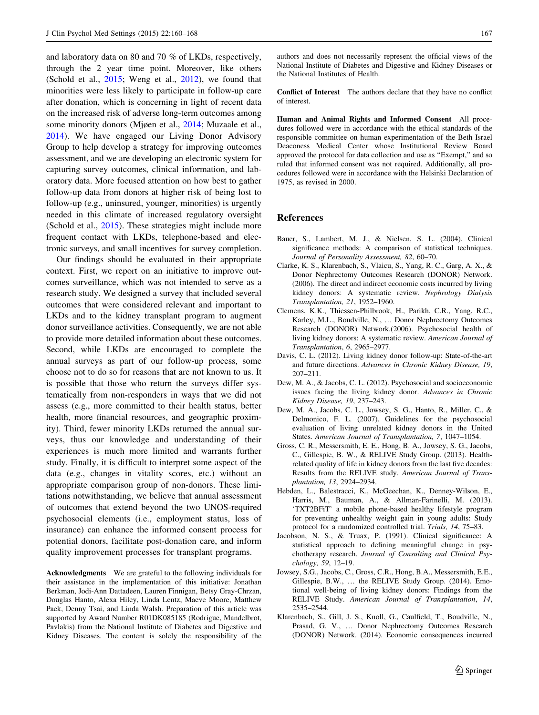<span id="page-7-0"></span>and laboratory data on 80 and 70 % of LKDs, respectively, through the 2 year time point. Moreover, like others (Schold et al., [2015](#page-8-0); Weng et al., [2012\)](#page-8-0), we found that minorities were less likely to participate in follow-up care after donation, which is concerning in light of recent data on the increased risk of adverse long-term outcomes among some minority donors (Mjøen et al., [2014](#page-8-0); Muzaale et al., [2014\)](#page-8-0). We have engaged our Living Donor Advisory Group to help develop a strategy for improving outcomes assessment, and we are developing an electronic system for capturing survey outcomes, clinical information, and laboratory data. More focused attention on how best to gather follow-up data from donors at higher risk of being lost to follow-up (e.g., uninsured, younger, minorities) is urgently needed in this climate of increased regulatory oversight (Schold et al., [2015\)](#page-8-0). These strategies might include more frequent contact with LKDs, telephone-based and electronic surveys, and small incentives for survey completion.

Our findings should be evaluated in their appropriate context. First, we report on an initiative to improve outcomes surveillance, which was not intended to serve as a research study. We designed a survey that included several outcomes that were considered relevant and important to LKDs and to the kidney transplant program to augment donor surveillance activities. Consequently, we are not able to provide more detailed information about these outcomes. Second, while LKDs are encouraged to complete the annual surveys as part of our follow-up process, some choose not to do so for reasons that are not known to us. It is possible that those who return the surveys differ systematically from non-responders in ways that we did not assess (e.g., more committed to their health status, better health, more financial resources, and geographic proximity). Third, fewer minority LKDs returned the annual surveys, thus our knowledge and understanding of their experiences is much more limited and warrants further study. Finally, it is difficult to interpret some aspect of the data (e.g., changes in vitality scores, etc.) without an appropriate comparison group of non-donors. These limitations notwithstanding, we believe that annual assessment of outcomes that extend beyond the two UNOS-required psychosocial elements (i.e., employment status, loss of insurance) can enhance the informed consent process for potential donors, facilitate post-donation care, and inform quality improvement processes for transplant programs.

Acknowledgments We are grateful to the following individuals for their assistance in the implementation of this initiative: Jonathan Berkman, Jodi-Ann Dattadeen, Lauren Finnigan, Betsy Gray-Chrzan, Douglas Hanto, Alexa Hiley, Linda Lentz, Maeve Moore, Matthew Paek, Denny Tsai, and Linda Walsh. Preparation of this article was supported by Award Number R01DK085185 (Rodrigue, Mandelbrot, Pavlakis) from the National Institute of Diabetes and Digestive and Kidney Diseases. The content is solely the responsibility of the

authors and does not necessarily represent the official views of the National Institute of Diabetes and Digestive and Kidney Diseases or the National Institutes of Health.

Conflict of Interest The authors declare that they have no conflict of interest.

Human and Animal Rights and Informed Consent All procedures followed were in accordance with the ethical standards of the responsible committee on human experimentation of the Beth Israel Deaconess Medical Center whose Institutional Review Board approved the protocol for data collection and use as ''Exempt,'' and so ruled that informed consent was not required. Additionally, all procedures followed were in accordance with the Helsinki Declaration of 1975, as revised in 2000.

## References

- Bauer, S., Lambert, M. J., & Nielsen, S. L. (2004). Clinical significance methods: A comparison of statistical techniques. Journal of Personality Assessment, 82, 60–70.
- Clarke, K. S., Klarenbach, S., Vlaicu, S., Yang, R. C., Garg, A. X., & Donor Nephrectomy Outcomes Research (DONOR) Network. (2006). The direct and indirect economic costs incurred by living kidney donors: A systematic review. Nephrology Dialysis Transplantation, 21, 1952–1960.
- Clemens, K.K., Thiessen-Philbrook, H., Parikh, C.R., Yang, R.C., Karley, M.L., Boudville, N., … Donor Nephrectomy Outcomes Research (DONOR) Network.(2006). Psychosocial health of living kidney donors: A systematic review. American Journal of Transplantation, 6, 2965–2977.
- Davis, C. L. (2012). Living kidney donor follow-up: State-of-the-art and future directions. Advances in Chronic Kidney Disease, 19, 207–211.
- Dew, M. A., & Jacobs, C. L. (2012). Psychosocial and socioeconomic issues facing the living kidney donor. Advances in Chronic Kidney Disease, 19, 237–243.
- Dew, M. A., Jacobs, C. L., Jowsey, S. G., Hanto, R., Miller, C., & Delmonico, F. L. (2007). Guidelines for the psychosocial evaluation of living unrelated kidney donors in the United States. American Journal of Transplantation, 7, 1047–1054.
- Gross, C. R., Messersmith, E. E., Hong, B. A., Jowsey, S. G., Jacobs, C., Gillespie, B. W., & RELIVE Study Group. (2013). Healthrelated quality of life in kidney donors from the last five decades: Results from the RELIVE study. American Journal of Transplantation, 13, 2924–2934.
- Hebden, L., Balestracci, K., McGeechan, K., Denney-Wilson, E., Harris, M., Bauman, A., & Allman-Farinelli, M. (2013). 'TXT2BFiT' a mobile phone-based healthy lifestyle program for preventing unhealthy weight gain in young adults: Study protocol for a randomized controlled trial. Trials, 14, 75–83.
- Jacobson, N. S., & Truax, P. (1991). Clinical significance: A statistical approach to defining meaningful change in psychotherapy research. Journal of Consulting and Clinical Psychology, 59, 12–19.
- Jowsey, S.G., Jacobs, C., Gross, C.R., Hong, B.A., Messersmith, E.E., Gillespie, B.W., … the RELIVE Study Group. (2014). Emotional well-being of living kidney donors: Findings from the RELIVE Study. American Journal of Transplantation, 14, 2535–2544.
- Klarenbach, S., Gill, J. S., Knoll, G., Caulfield, T., Boudville, N., Prasad, G. V., … Donor Nephrectomy Outcomes Research (DONOR) Network. (2014). Economic consequences incurred